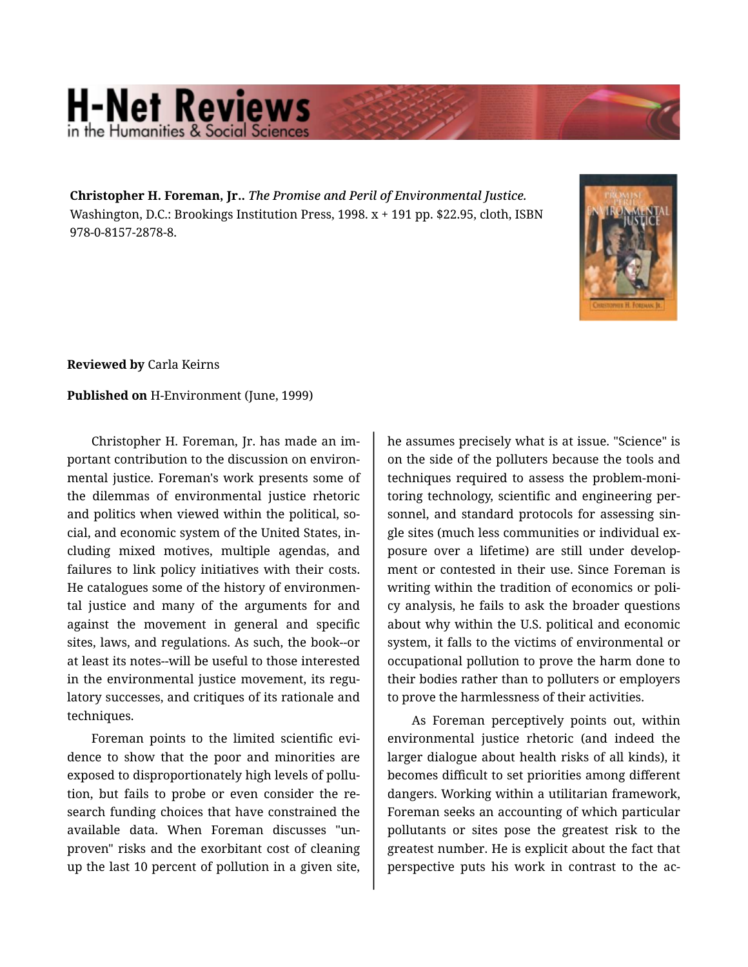## **H-Net Reviews** in the Humanities & Social S

**Christopher H. Foreman, Jr..** *The Promise and Peril of Environmental Justice.*  Washington, D.C.: Brookings Institution Press, 1998. x + 191 pp. \$22.95, cloth, ISBN 978-0-8157-2878-8.



**Reviewed by** Carla Keirns

## **Published on** H-Environment (June, 1999)

Christopher H. Foreman, Jr. has made an im‐ portant contribution to the discussion on environ‐ mental justice. Foreman's work presents some of the dilemmas of environmental justice rhetoric and politics when viewed within the political, so‐ cial, and economic system of the United States, in‐ cluding mixed motives, multiple agendas, and failures to link policy initiatives with their costs. He catalogues some of the history of environmen‐ tal justice and many of the arguments for and against the movement in general and specific sites, laws, and regulations. As such, the book--or at least its notes--will be useful to those interested in the environmental justice movement, its regulatory successes, and critiques of its rationale and techniques.

Foreman points to the limited scientific evi‐ dence to show that the poor and minorities are exposed to disproportionately high levels of pollu‐ tion, but fails to probe or even consider the re‐ search funding choices that have constrained the available data. When Foreman discusses "un‐ proven" risks and the exorbitant cost of cleaning up the last 10 percent of pollution in a given site,

he assumes precisely what is at issue. "Science" is on the side of the polluters because the tools and techniques required to assess the problem-moni‐ toring technology, scientific and engineering per‐ sonnel, and standard protocols for assessing single sites (much less communities or individual ex‐ posure over a lifetime) are still under develop‐ ment or contested in their use. Since Foreman is writing within the tradition of economics or poli‐ cy analysis, he fails to ask the broader questions about why within the U.S. political and economic system, it falls to the victims of environmental or occupational pollution to prove the harm done to their bodies rather than to polluters or employers to prove the harmlessness of their activities.

As Foreman perceptively points out, within environmental justice rhetoric (and indeed the larger dialogue about health risks of all kinds), it becomes difficult to set priorities among different dangers. Working within a utilitarian framework, Foreman seeks an accounting of which particular pollutants or sites pose the greatest risk to the greatest number. He is explicit about the fact that perspective puts his work in contrast to the ac‐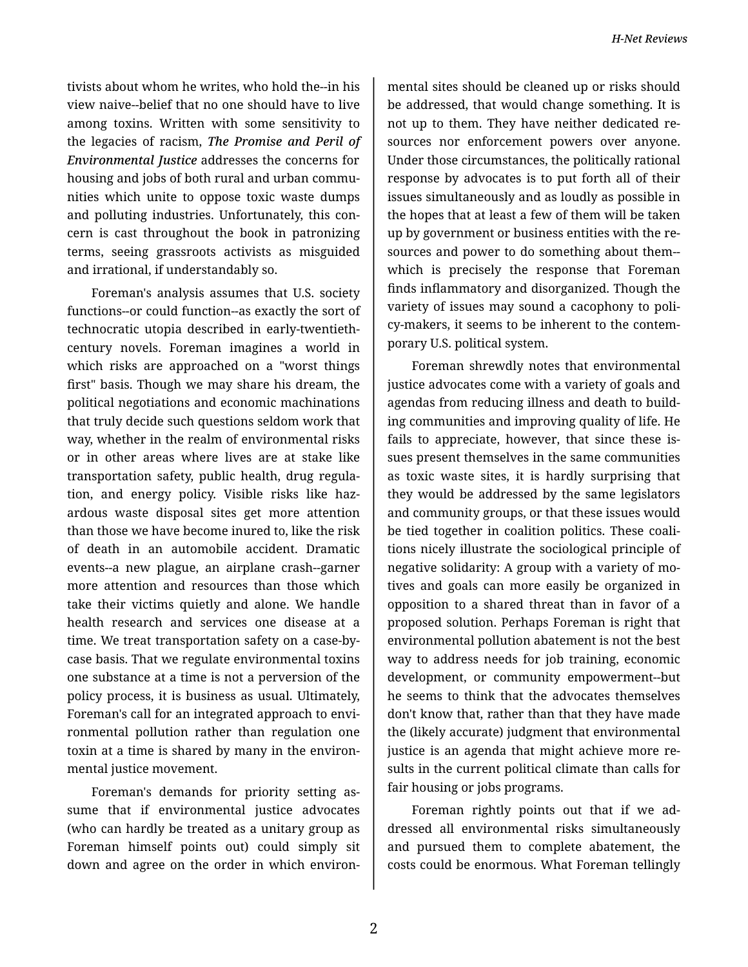tivists about whom he writes, who hold the--in his view naive--belief that no one should have to live among toxins. Written with some sensitivity to the legacies of racism, *The Promise and Peril of Environmental Justice* addresses the concerns for housing and jobs of both rural and urban commu‐ nities which unite to oppose toxic waste dumps and polluting industries. Unfortunately, this con‐ cern is cast throughout the book in patronizing terms, seeing grassroots activists as misguided and irrational, if understandably so.

Foreman's analysis assumes that U.S. society functions--or could function--as exactly the sort of technocratic utopia described in early-twentiethcentury novels. Foreman imagines a world in which risks are approached on a "worst things first" basis. Though we may share his dream, the political negotiations and economic machinations that truly decide such questions seldom work that way, whether in the realm of environmental risks or in other areas where lives are at stake like transportation safety, public health, drug regula‐ tion, and energy policy. Visible risks like haz‐ ardous waste disposal sites get more attention than those we have become inured to, like the risk of death in an automobile accident. Dramatic events--a new plague, an airplane crash--garner more attention and resources than those which take their victims quietly and alone. We handle health research and services one disease at a time. We treat transportation safety on a case-bycase basis. That we regulate environmental toxins one substance at a time is not a perversion of the policy process, it is business as usual. Ultimately, Foreman's call for an integrated approach to envi‐ ronmental pollution rather than regulation one toxin at a time is shared by many in the environ‐ mental justice movement.

Foreman's demands for priority setting as‐ sume that if environmental justice advocates (who can hardly be treated as a unitary group as Foreman himself points out) could simply sit down and agree on the order in which environ‐

mental sites should be cleaned up or risks should be addressed, that would change something. It is not up to them. They have neither dedicated re‐ sources nor enforcement powers over anyone. Under those circumstances, the politically rational response by advocates is to put forth all of their issues simultaneously and as loudly as possible in the hopes that at least a few of them will be taken up by government or business entities with the re‐ sources and power to do something about them- which is precisely the response that Foreman finds inflammatory and disorganized. Though the variety of issues may sound a cacophony to poli‐ cy-makers, it seems to be inherent to the contem‐ porary U.S. political system.

Foreman shrewdly notes that environmental justice advocates come with a variety of goals and agendas from reducing illness and death to build‐ ing communities and improving quality of life. He fails to appreciate, however, that since these is‐ sues present themselves in the same communities as toxic waste sites, it is hardly surprising that they would be addressed by the same legislators and community groups, or that these issues would be tied together in coalition politics. These coali‐ tions nicely illustrate the sociological principle of negative solidarity: A group with a variety of mo‐ tives and goals can more easily be organized in opposition to a shared threat than in favor of a proposed solution. Perhaps Foreman is right that environmental pollution abatement is not the best way to address needs for job training, economic development, or community empowerment--but he seems to think that the advocates themselves don't know that, rather than that they have made the (likely accurate) judgment that environmental justice is an agenda that might achieve more re‐ sults in the current political climate than calls for fair housing or jobs programs.

Foreman rightly points out that if we ad‐ dressed all environmental risks simultaneously and pursued them to complete abatement, the costs could be enormous. What Foreman tellingly